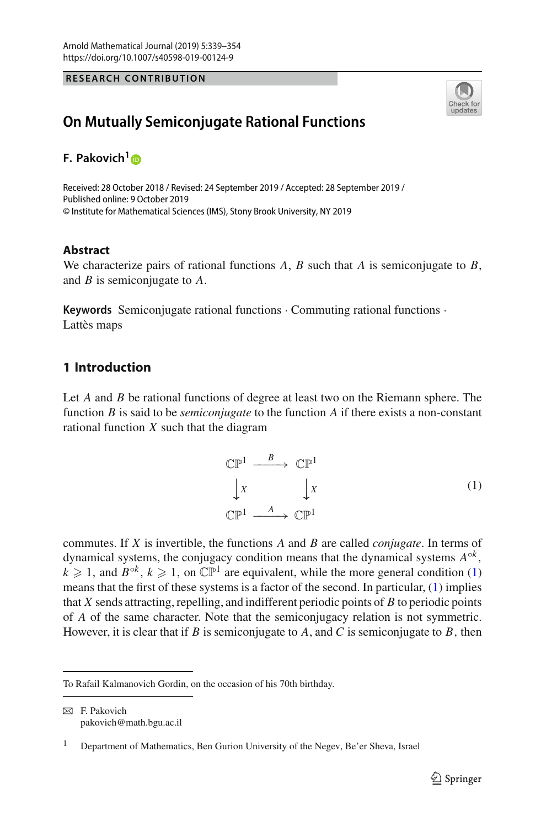**RESEARCH CONTRIBUTION**



# **On Mutually Semiconjugate Rational Functions**

**F. Pakovich[1](http://orcid.org/0000-0002-0096-9781)**

Received: 28 October 2018 / Revised: 24 September 2019 / Accepted: 28 September 2019 / Published online: 9 October 2019 © Institute for Mathematical Sciences (IMS), Stony Brook University, NY 2019

## **Abstract**

We characterize pairs of rational functions *A*, *B* such that *A* is semiconjugate to *B*, and *B* is semiconjugate to *A*.

**Keywords** Semiconjugate rational functions · Commuting rational functions · Lattès maps

## **1 Introduction**

Let *A* and *B* be rational functions of degree at least two on the Riemann sphere. The function *B* is said to be *semiconjugate* to the function *A* if there exists a non-constant rational function *X* such that the diagram

<span id="page-0-0"></span>
$$
\begin{array}{ccc}\n\mathbb{CP}^1 & \xrightarrow{B} & \mathbb{CP}^1 \\
\downarrow x & & \downarrow x \\
\mathbb{CP}^1 & \xrightarrow{A} & \mathbb{CP}^1\n\end{array} \tag{1}
$$

commutes. If *X* is invertible, the functions *A* and *B* are called *conjugate*. In terms of dynamical systems, the conjugacy condition means that the dynamical systems  $A^{\circ k}$ ,  $k \geq 1$ , and  $B^{\circ k}$ ,  $k \geq 1$ , on  $\mathbb{CP}^1$  are equivalent, while the more general condition [\(1\)](#page-0-0) means that the first of these systems is a factor of the second. In particular, [\(1\)](#page-0-0) implies that *X* sends attracting, repelling, and indifferent periodic points of *B* to periodic points of *A* of the same character. Note that the semiconjugacy relation is not symmetric. However, it is clear that if *B* is semiconjugate to *A*, and *C* is semiconjugate to *B*, then

To Rafail Kalmanovich Gordin, on the occasion of his 70th birthday.

 $\boxtimes$  F. Pakovich pakovich@math.bgu.ac.il

<sup>&</sup>lt;sup>1</sup> Department of Mathematics, Ben Gurion University of the Negev, Be'er Sheva, Israel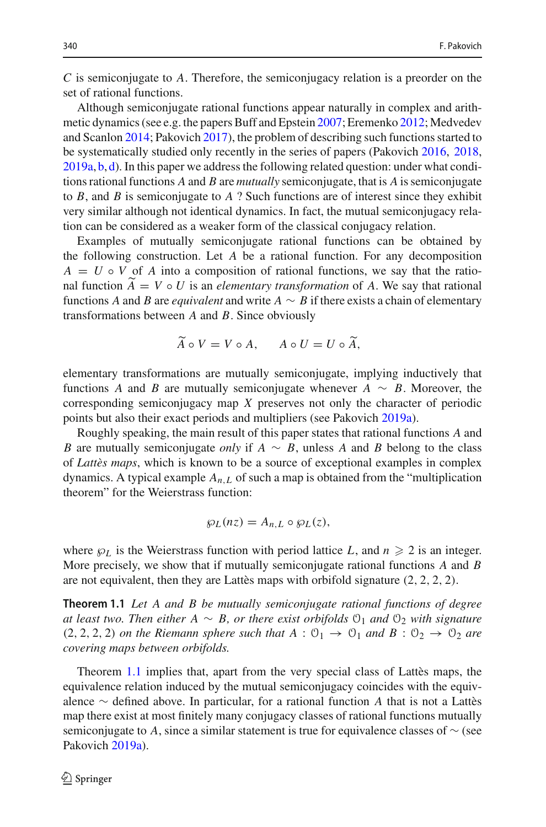*C* is semiconjugate to *A*. Therefore, the semiconjugacy relation is a preorder on the set of rational functions.

Although semiconjugate rational functions appear naturally in complex and arithmetic dynamics (see e.g. the papers Buff and Epstei[n](#page-14-0) [2007](#page-14-0); Eremenk[o](#page-15-0) [2012](#page-15-0); Medvedev and Scanlo[n](#page-15-1) [2014;](#page-15-1) Pakovic[h](#page-15-2) [2017](#page-15-2)), the problem of describing such functions started to be systematically studied only recently in the series of papers (Pakovic[h](#page-15-3) [2016](#page-15-3), [2018,](#page-15-4)  $2019a, b, d$  $2019a, b, d$  $2019a, b, d$  $2019a, b, d$ ). In this paper we address the following related question: under what conditions rational functions *A* and *B* are *mutually* semiconjugate, that is *A* is semiconjugate to *B*, and *B* is semiconjugate to *A* ? Such functions are of interest since they exhibit very similar although not identical dynamics. In fact, the mutual semiconjugacy relation can be considered as a weaker form of the classical conjugacy relation.

Examples of mutually semiconjugate rational functions can be obtained by the following construction. Let *A* be a rational function. For any decomposition  $A = U \circ V$  of *A* into a composition of rational functions, we say that the rational function  $A = V \circ U$  is an *elementary transformation* of *A*. We say that rational functions *A* and *B* are assimplent on during *A* and *B* are assimplent on during *A* and *B* are assimplent on during *A* and *B* and functions *A* and *B* are *equivalent* and write  $A \sim B$  if there exists a chain of elementary transformations between *A* and *B*. Since obviously

$$
\widetilde{A} \circ V = V \circ A, \qquad A \circ U = U \circ \widetilde{A},
$$

elementary transformations are mutually semiconjugate, implying inductively that functions *A* and *B* are mutually semiconjugate whenever  $A \sim B$ . Moreover, the corresponding semiconjugacy map *X* preserves not only the character of periodic points but also their exact periods and multipliers (see Pakovic[h](#page-15-5) [2019a\)](#page-15-5).

Roughly speaking, the main result of this paper states that rational functions *A* and *B* are mutually semiconjugate *only* if *A* ∼ *B*, unless *A* and *B* belong to the class of *Lattès maps*, which is known to be a source of exceptional examples in complex dynamics. A typical example  $A_{n,L}$  of such a map is obtained from the "multiplication" theorem" for the Weierstrass function:

$$
\wp_L(nz)=A_{n,L}\circ\wp_L(z),
$$

where  $\wp_L$  is the Weierstrass function with period lattice *L*, and  $n \geq 2$  is an integer. More precisely, we show that if mutually semiconjugate rational functions *A* and *B* are not equivalent, then they are Lattès maps with orbifold signature (2, 2, 2, 2).

<span id="page-1-0"></span>**Theorem 1.1** *Let A and B be mutually semiconjugate rational functions of degree at least two. Then either A* ∼ *B, or there exist orbifolds*  $\mathcal{O}_1$  *and*  $\mathcal{O}_2$  *with signature*  $(2, 2, 2, 2)$  *on the Riemann sphere such that*  $A : \mathcal{O}_1 \rightarrow \mathcal{O}_1$  *and*  $B : \mathcal{O}_2 \rightarrow \mathcal{O}_2$  *are covering maps between orbifolds.*

Theorem [1.1](#page-1-0) implies that, apart from the very special class of Lattès maps, the equivalence relation induced by the mutual semiconjugacy coincides with the equivalence ∼ defined above. In particular, for a rational function *A* that is not a Lattès map there exist at most finitely many conjugacy classes of rational functions mutually semiconjugate to *A*, since a similar statement is true for equivalence classes of  $\sim$  (see Pakovic[h](#page-15-5) [2019a](#page-15-5)).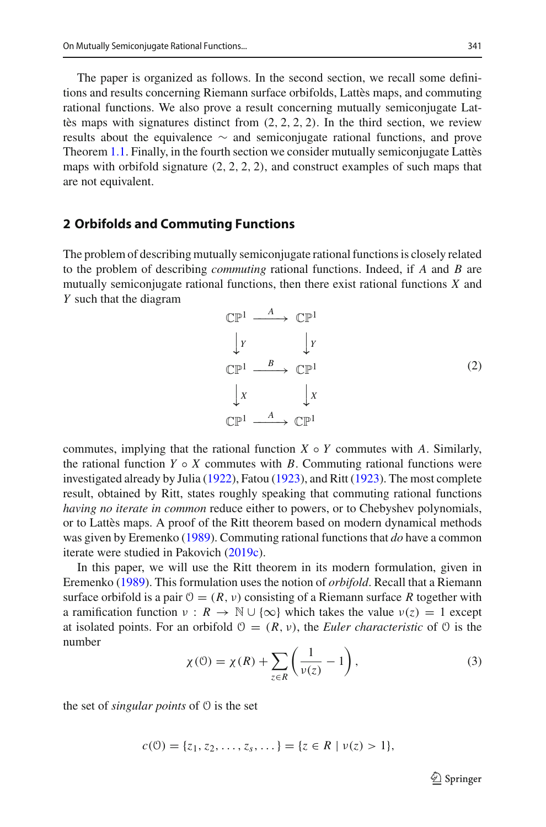The paper is organized as follows. In the second section, we recall some definitions and results concerning Riemann surface orbifolds, Lattès maps, and commuting rational functions. We also prove a result concerning mutually semiconjugate Lattès maps with signatures distinct from  $(2, 2, 2, 2)$ . In the third section, we review results about the equivalence ∼ and semiconjugate rational functions, and prove Theorem [1.1.](#page-1-0) Finally, in the fourth section we consider mutually semiconjugate Lattès maps with orbifold signature  $(2, 2, 2, 2)$ , and construct examples of such maps that are not equivalent.

#### **2 Orbifolds and Commuting Functions**

The problem of describing mutually semiconjugate rational functions is closely related to the problem of describing *commuting* rational functions. Indeed, if *A* and *B* are mutually semiconjugate rational functions, then there exist rational functions *X* and *Y* such that the diagram

<span id="page-2-1"></span>

commutes, implying that the rational function  $X \circ Y$  commutes with *A*. Similarly, the rational function  $Y \circ X$  commutes with *B*. Commuting rational functions were investigated already by Juli[a](#page-15-8) [\(1922\)](#page-15-8), Fato[u](#page-15-9) [\(1923\)](#page-15-9), and Rit[t](#page-15-10) [\(1923\)](#page-15-10). The most complete result, obtained by Ritt, states roughly speaking that commuting rational functions *having no iterate in common* reduce either to powers, or to Chebyshev polynomials, or to Lattès maps. A proof of the Ritt theorem based on modern dynamical methods was given by Eremenk[o](#page-15-11) [\(1989](#page-15-11)). Commuting rational functions that *do* have a common iterate were studied in Pakovic[h](#page-15-12) [\(2019c](#page-15-12)).

In this paper, we will use the Ritt theorem in its modern formulation, given in Eremenk[o](#page-15-11) [\(1989\)](#page-15-11). This formulation uses the notion of *orbifold*. Recall that a Riemann surface orbifold is a pair  $\mathcal{O} = (R, \nu)$  consisting of a Riemann surface R together with a ramification function  $v : R \to \mathbb{N} \cup \{\infty\}$  which takes the value  $v(z) = 1$  except at isolated points. For an orbifold  $\mathcal{O} = (R, v)$ , the *Euler characteristic* of  $\mathcal{O}$  is the number

<span id="page-2-0"></span>
$$
\chi(\mathcal{O}) = \chi(R) + \sum_{z \in R} \left( \frac{1}{\nu(z)} - 1 \right),\tag{3}
$$

the set of *singular points* of O is the set

$$
c(0) = \{z_1, z_2, \ldots, z_s, \ldots\} = \{z \in R \mid \nu(z) > 1\},\
$$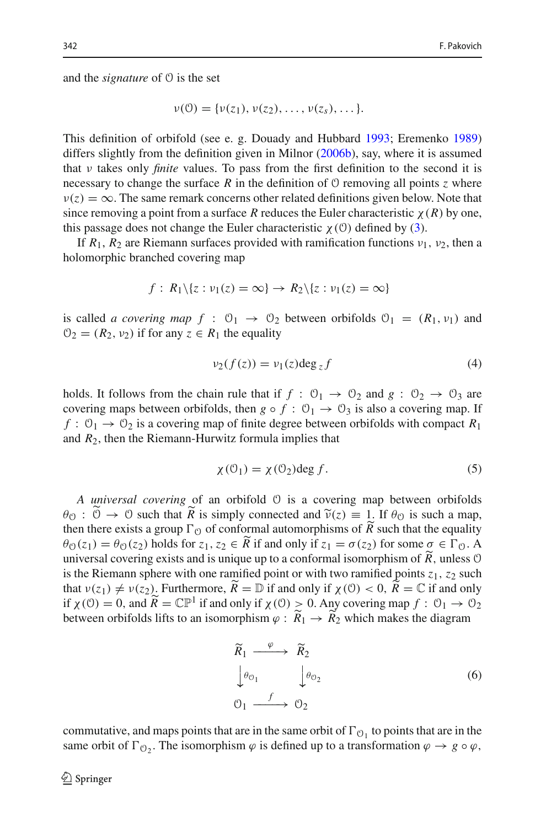and the *signature* of O is the set

$$
v(0) = \{v(z_1), v(z_2), \ldots, v(z_s), \ldots\}.
$$

This definition of orbifold (see e. g. Douady and Hubbar[d](#page-14-1) [1993](#page-14-1); Eremenk[o](#page-15-11) [1989\)](#page-15-11) differs slightly from the definition given in Milno[r](#page-15-13) [\(2006b\)](#page-15-13), say, where it is assumed that ν takes only *finite* values. To pass from the first definition to the second it is necessary to change the surface R in the definition of  $\theta$  removing all points *z* where  $v(z) = \infty$ . The same remark concerns other related definitions given below. Note that since removing a point from a surface *R* reduces the Euler characteristic  $\chi(R)$  by one, this passage does not change the Euler characteristic  $\chi$  (0) defined by [\(3\)](#page-2-0).

If  $R_1$ ,  $R_2$  are Riemann surfaces provided with ramification functions  $v_1$ ,  $v_2$ , then a holomorphic branched covering map

$$
f: R_1 \setminus \{z : \nu_1(z) = \infty\} \to R_2 \setminus \{z : \nu_1(z) = \infty\}
$$

is called *a covering map*  $f : \mathcal{O}_1 \to \mathcal{O}_2$  between orbifolds  $\mathcal{O}_1 = (R_1, \nu_1)$  and  $\mathcal{O}_2 = (R_2, \nu_2)$  if for any  $z \in R_1$  the equality

<span id="page-3-1"></span>
$$
\nu_2(f(z)) = \nu_1(z) \deg_z f \tag{4}
$$

holds. It follows from the chain rule that if  $f: \mathcal{O}_1 \to \mathcal{O}_2$  and  $g: \mathcal{O}_2 \to \mathcal{O}_3$  are covering maps between orbifolds, then  $g \circ f : \mathcal{O}_1 \to \mathcal{O}_3$  is also a covering map. If  $f: \mathcal{O}_1 \to \mathcal{O}_2$  is a covering map of finite degree between orbifolds with compact  $R_1$ and *R*2, then the Riemann-Hurwitz formula implies that

<span id="page-3-2"></span>
$$
\chi(\mathcal{O}_1) = \chi(\mathcal{O}_2) \deg f. \tag{5}
$$

*A universal covering* of an orbifold O is a covering map between orbifolds  $\theta_{\mathcal{O}}$ :  $\mathcal{O} \to \mathcal{O}$  such that *R* is simply connected and  $\tilde{v}(z) \equiv 1$ . If  $\theta_{\mathcal{O}}$  is such a map, then there exists a group  $\Gamma_{\mathcal{O}}$  of conformal automorphisms of  $\tilde{R}$  such that the equality then there exists a group  $\Gamma_{\mathcal{O}}$  of conformal automorphisms of *R* such that the equality  $\alpha$  (c)  $\alpha$  (c) holds for  $z = \overline{\alpha}$  if and only if  $z = \alpha(z)$  for some  $z \in \Gamma$ .  $\theta_{\mathcal{O}}(z_1) = \theta_{\mathcal{O}}(z_2)$  holds for  $z_1, z_2 \in R$  if and only if  $z_1 = \sigma(z_2)$  for some  $\sigma \in \Gamma_{\mathcal{O}}$ . A universal covering exists and is unique up to a conformal isomorphism of *R* , unless <sup>O</sup> is the Riemann sphere with one ramified point or with two ramified points  $z_1$ ,  $z_2$  such that  $v(z_1) \neq v(z_2)$ . Furthermore,  $\widetilde{R} = \mathbb{D}$  if and only if  $\chi(0) < 0$ ,  $\widetilde{R} = \mathbb{C}$  if and only if if  $\chi$ (0) = 0, and  $\widetilde{R} = \mathbb{CP}^1$  if and only if  $\chi$ (0) > 0. Any covering map  $f : 0_1 \to 0_2$ between orbifolds lifts to an isomorphism  $\varphi: R_1 \to R_2$  which makes the diagram

<span id="page-3-0"></span>
$$
\widetilde{R}_1 \xrightarrow{\varphi} \widetilde{R}_2
$$
\n
$$
\downarrow^{\theta_{\mathcal{O}_1}} \qquad \downarrow^{\theta_{\mathcal{O}_2}} \qquad (6)
$$
\n
$$
\mathcal{O}_1 \xrightarrow{f} \mathcal{O}_2
$$

commutative, and maps points that are in the same orbit of  $\Gamma_{\mathcal{O}_1}$  to points that are in the same orbit of  $\Gamma_{\mathcal{O}_2}$ . The isomorphism  $\varphi$  is defined up to a transformation  $\varphi \to g \circ \varphi$ ,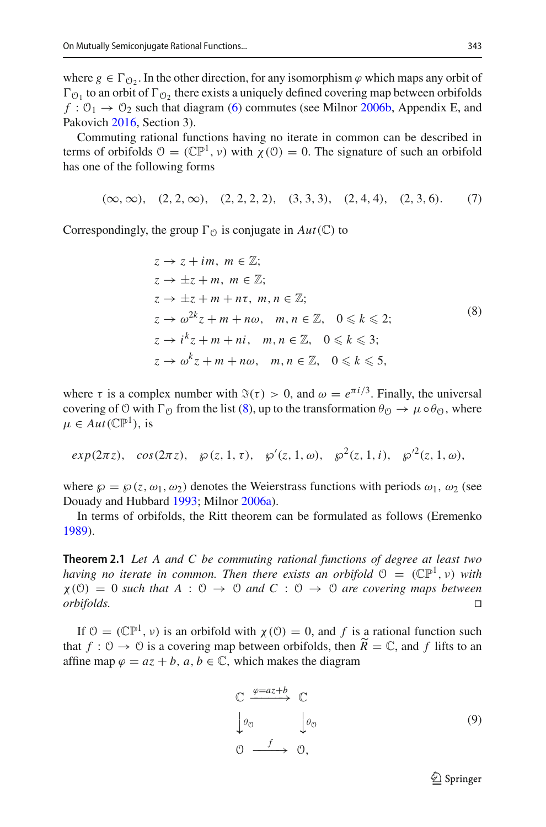where  $g \in \Gamma_{\Omega_2}$ . In the other direction, for any isomorphism  $\varphi$  which maps any orbit of  $\Gamma_{\mathcal{O}_1}$  to an orbit of  $\Gamma_{\mathcal{O}_2}$  there exists a uniquely defined covering map between orbifolds  $f: \mathcal{O}_1 \to \mathcal{O}_2$  such that diagram [\(6\)](#page-3-0) commutes (see Milno[r](#page-15-13) [2006b](#page-15-13), Appendix E, and Pakovic[h](#page-15-3) [2016,](#page-15-3) Section 3).

Commuting rational functions having no iterate in common can be described in terms of orbifolds  $\mathcal{O} = (\mathbb{CP}^1, \nu)$  with  $\chi(\mathcal{O}) = 0$ . The signature of such an orbifold has one of the following forms

<span id="page-4-1"></span>
$$
(\infty, \infty), (2, 2, \infty), (2, 2, 2, 2), (3, 3, 3), (2, 4, 4), (2, 3, 6).
$$
 (7)

Correspondingly, the group  $\Gamma_{\mathcal{O}}$  is conjugate in  $Aut(\mathbb{C})$  to

<span id="page-4-0"></span>
$$
z \rightarrow z + im, m \in \mathbb{Z};
$$
  
\n
$$
z \rightarrow \pm z + m, m \in \mathbb{Z};
$$
  
\n
$$
z \rightarrow \pm z + m + n\tau, m, n \in \mathbb{Z};
$$
  
\n
$$
z \rightarrow \omega^{2k} z + m + n\omega, m, n \in \mathbb{Z}, 0 \le k \le 2;
$$
  
\n
$$
z \rightarrow i^{k} z + m + ni, m, n \in \mathbb{Z}, 0 \le k \le 3;
$$
  
\n
$$
z \rightarrow \omega^{k} z + m + n\omega, m, n \in \mathbb{Z}, 0 \le k \le 5,
$$
  
\n(8)

where  $\tau$  is a complex number with  $\mathfrak{F}(\tau) > 0$ , and  $\omega = e^{\pi i/3}$ . Finally, the universal covering of O with  $\Gamma_{\mathcal{O}}$  from the list [\(8\)](#page-4-0), up to the transformation  $\theta_{\mathcal{O}} \to \mu \circ \theta_{\mathcal{O}}$ , where  $\mu \in Aut(\mathbb{CP}^1)$ , is

$$
exp(2\pi z)
$$
,  $cos(2\pi z)$ ,  $\wp(z, 1, \tau)$ ,  $\wp'(z, 1, \omega)$ ,  $\wp^2(z, 1, i)$ ,  $\wp'^2(z, 1, \omega)$ ,

where  $\wp = \wp(z, \omega_1, \omega_2)$  denotes the Weierstrass functions with periods  $\omega_1$ ,  $\omega_2$  (see Douady and Hubbar[d](#page-14-1) [1993;](#page-14-1) Milno[r](#page-15-14) [2006a\)](#page-15-14).

In terms of orbifolds, the Ritt theorem can be formulated as follows (Eremenk[o](#page-15-11) [1989\)](#page-15-11).

**Theorem 2.1** *Let A and C be commuting rational functions of degree at least two having no iterate in common. Then there exists an orbifold*  $\mathcal{O} = (\mathbb{CP}^1, v)$  *with*  $\chi$ (0) = 0 *such that A* : 0  $\rightarrow$  0 *and C* : 0  $\rightarrow$  0 *are covering maps between orbifolds. orbifolds.* 

If  $\mathcal{O} = (\mathbb{CP}^1, v)$  is an orbifold with  $\chi(\mathcal{O}) = 0$ , and f is a rational function such that  $f : \mathcal{O} \to \mathcal{O}$  is a covering map between orbifolds, then  $\widetilde{R} = \mathbb{C}$ , and *f* lifts to an affine map  $\varphi = az + b$ ,  $a, b \in \mathbb{C}$ , which makes the diagram

<span id="page-4-2"></span>
$$
\begin{array}{ccc}\n\mathbb{C} & \xrightarrow{\varphi = az+b} & \mathbb{C} \\
\downarrow \theta_0 & & \downarrow \theta_0 \\
\mathbb{O} & \xrightarrow{f} & \mathbb{O},\n\end{array} \tag{9}
$$

 $\mathcal{D}$  Springer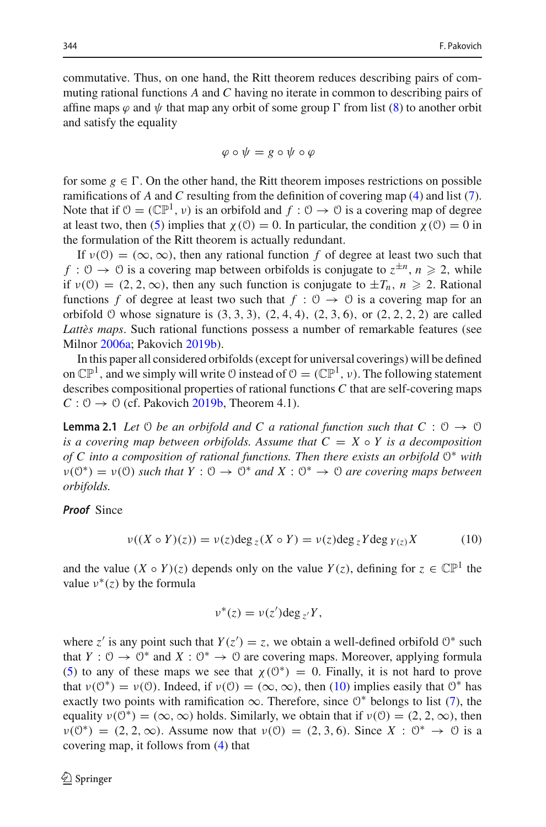commutative. Thus, on one hand, the Ritt theorem reduces describing pairs of commuting rational functions *A* and *C* having no iterate in common to describing pairs of affine maps  $\varphi$  and  $\psi$  that map any orbit of some group  $\Gamma$  from list [\(8\)](#page-4-0) to another orbit and satisfy the equality

$$
\varphi \circ \psi = g \circ \psi \circ \varphi
$$

for some  $g \in \Gamma$ . On the other hand, the Ritt theorem imposes restrictions on possible ramifications of *A* and *C* resulting from the definition of covering map [\(4\)](#page-3-1) and list [\(7\)](#page-4-1). Note that if  $\mathcal{O} = (\mathbb{CP}^1, v)$  is an orbifold and  $f : \mathcal{O} \to \mathcal{O}$  is a covering map of degree at least two, then [\(5\)](#page-3-2) implies that  $\chi$  (0) = 0. In particular, the condition  $\chi$  (0) = 0 in the formulation of the Ritt theorem is actually redundant.

If  $v(0) = (\infty, \infty)$ , then any rational function f of degree at least two such that *f* :  $0 \rightarrow 0$  is a covering map between orbifolds is conjugate to  $z^{\pm n}$ ,  $n \ge 2$ , while if  $v(0) = (2, 2, \infty)$ , then any such function is conjugate to  $\pm T_n$ ,  $n \ge 2$ . Rational functions *f* of degree at least two such that  $f : \mathcal{O} \to \mathcal{O}$  is a covering map for an orbifold  $\theta$  whose signature is  $(3, 3, 3)$ ,  $(2, 4, 4)$ ,  $(2, 3, 6)$ , or  $(2, 2, 2, 2)$  are called *Lattès maps*. Such rational functions possess a number of remarkable features (see Milno[r](#page-15-14) [2006a](#page-15-14); Pakovic[h](#page-15-6) [2019b\)](#page-15-6).

In this paper all considered orbifolds (except for universal coverings) will be defined on  $\mathbb{CP}^1$ , and we simply will write  $\mathcal O$  instead of  $\mathcal O = (\mathbb{CP}^1, \nu)$ . The following statement describes compositional properties of rational functions *C* that are self-covering maps  $C: \mathcal{O} \rightarrow \mathcal{O}$  $C: \mathcal{O} \rightarrow \mathcal{O}$  $C: \mathcal{O} \rightarrow \mathcal{O}$  (cf. Pakovich [2019b,](#page-15-6) Theorem 4.1).

<span id="page-5-1"></span>**Lemma 2.1** *Let*  $\heartsuit$  *be an orbifold and*  $C$  *a rational function such that*  $C : \heartsuit \rightarrow \heartsuit$ *is a covering map between orbifolds. Assume that*  $C = X \circ Y$  *is a decomposition of C into a composition of rational functions. Then there exists an orbifold* O∗ *with*  $\nu(\mathbb{O}^*) = \nu(\mathbb{O})$  *such that*  $Y : \mathbb{O} \to \mathbb{O}^*$  *and*  $X : \mathbb{O}^* \to \mathbb{O}$  *are covering maps between orbifolds.*

#### *Proof* Since

<span id="page-5-0"></span>
$$
\nu((X \circ Y)(z)) = \nu(z) \deg_z(X \circ Y) = \nu(z) \deg_z Y \deg_{Y(z)} X \tag{10}
$$

and the value  $(X \circ Y)(z)$  depends only on the value  $Y(z)$ , defining for  $z \in \mathbb{CP}^1$  the value  $v^*(z)$  by the formula

$$
\nu^*(z) = \nu(z') \deg_{z'} Y,
$$

where  $z'$  is any point such that  $Y(z') = z$ , we obtain a well-defined orbifold  $\mathcal{O}^*$  such that  $Y: \mathcal{O} \to \mathcal{O}^*$  and  $X: \mathcal{O}^* \to \mathcal{O}$  are covering maps. Moreover, applying formula [\(5\)](#page-3-2) to any of these maps we see that  $\chi$ (0<sup>\*</sup>) = 0. Finally, it is not hard to prove that  $\nu(\mathcal{O}^*) = \nu(\mathcal{O})$ . Indeed, if  $\nu(\mathcal{O}) = (\infty, \infty)$ , then [\(10\)](#page-5-0) implies easily that  $\mathcal{O}^*$  has exactly two points with ramification  $\infty$ . Therefore, since  $0^*$  belongs to list [\(7\)](#page-4-1), the equality  $v(0^*) = (\infty, \infty)$  holds. Similarly, we obtain that if  $v(0) = (2, 2, \infty)$ , then  $\nu(\mathcal{O}^*) = (2, 2, \infty)$ . Assume now that  $\nu(\mathcal{O}) = (2, 3, 6)$ . Since  $X : \mathcal{O}^* \to \mathcal{O}$  is a covering map, it follows from [\(4\)](#page-3-1) that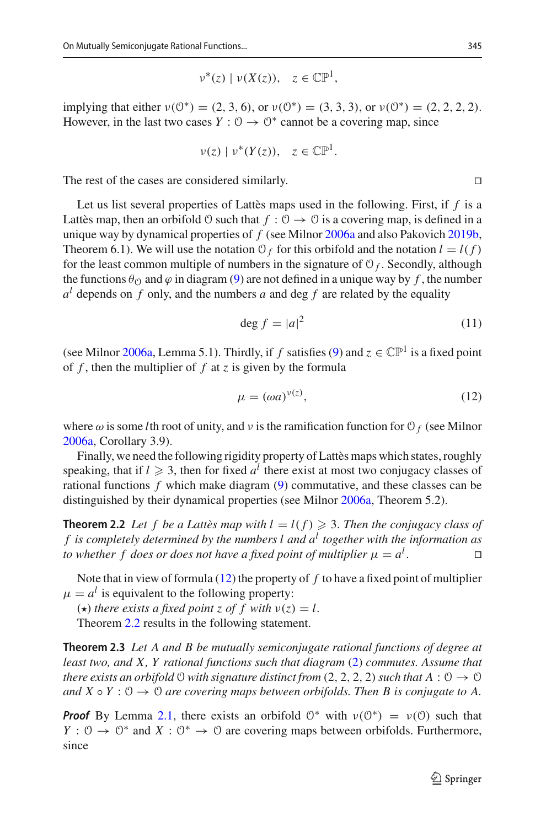$$
\nu^*(z) \mid \nu(X(z)), \quad z \in \mathbb{CP}^1,
$$

implying that either  $v(0^*) = (2, 3, 6)$ , or  $v(0^*) = (3, 3, 3)$ , or  $v(0^*) = (2, 2, 2, 2)$ . However, in the last two cases  $Y: \mathbb{O} \to \mathbb{O}^*$  cannot be a covering map, since

$$
\nu(z) \mid \nu^*(Y(z)), \quad z \in \mathbb{CP}^1.
$$

The rest of the cases are considered similarly.  $\Box$ 

Let us list several properties of Lattès maps used in the following. First, if *f* is a Lattès map, then an orbifold  $\varnothing$  such that  $f : \varnothing \to \varnothing$  is a covering map, is defined in a unique way by dynamical properties of *f* (see Milno[r](#page-15-14) [2006a](#page-15-14) and also Pakovic[h](#page-15-6) [2019b,](#page-15-6) Theorem 6.1). We will use the notation  $O_f$  for this orbifold and the notation  $l = l(f)$ for the least common multiple of numbers in the signature of  $\mathcal{O}_f$ . Secondly, although the functions  $\theta_{\Omega}$  and  $\varphi$  in diagram [\(9\)](#page-4-2) are not defined in a unique way by f, the number  $a^l$  depends on f only, and the numbers a and deg f are related by the equality

<span id="page-6-3"></span>
$$
\deg f = |a|^2 \tag{11}
$$

(see Milno[r](#page-15-14) [2006a,](#page-15-14) Lemma 5.1). Thirdly, if *f* satisfies [\(9\)](#page-4-2) and  $z \in \mathbb{CP}^1$  is a fixed point of  $f$ , then the multiplier of  $f$  at  $z$  is given by the formula

<span id="page-6-0"></span>
$$
\mu = (\omega a)^{\nu(z)},\tag{12}
$$

whe[r](#page-15-14)e  $\omega$  is some *l*th root of unity, and  $\nu$  is the ramification function for  $\mathcal{O}_f$  (see Milnor [2006a](#page-15-14), Corollary 3.9).

Finally, we need the following rigidity property of Lattès maps which states, roughly speaking, that if  $l \geq 3$ , then for fixed  $a^l$  there exist at most two conjugacy classes of rational functions *f* which make diagram [\(9\)](#page-4-2) commutative, and these classes can be distinguished by their dynamical properties (see Milno[r](#page-15-14) [2006a,](#page-15-14) Theorem 5.2).

<span id="page-6-1"></span>**Theorem 2.2** Let f be a Lattès map with  $l = l(f) \geqslant 3$ . Then the conjugacy class of *f is completely determined by the numbers l and a<sup>l</sup> together with the information as to whether f does or does not have a fixed point of multiplier*  $\mu = a^l$ . . 

Note that in view of formula [\(12\)](#page-6-0) the property of *f* to have a fixed point of multiplier  $\mu = a^l$  is equivalent to the following property:

 $(\star)$  *there exists a fixed point z of f with*  $v(z) = l$ .

<span id="page-6-2"></span>Theorem [2.2](#page-6-1) results in the following statement.

**Theorem 2.3** *Let A and B be mutually semiconjugate rational functions of degree at least two, and X, Y rational functions such that diagram* [\(2\)](#page-2-1) *commutes. Assume that there exists an orbifold*  $\Theta$  *with signature distinct from* (2, 2, 2, 2) *such that*  $A : \Theta \to \Theta$ *and*  $X \circ Y : \mathcal{O} \to \mathcal{O}$  *are covering maps between orbifolds. Then B is conjugate to A.* 

*Proof* By Lemma [2.1,](#page-5-1) there exists an orbifold  $0^*$  with  $v(0^*) = v(0)$  such that *Y* :  $\vartheta \to \vartheta^*$  and *X* :  $\vartheta^* \to \vartheta$  are covering maps between orbifolds. Furthermore, since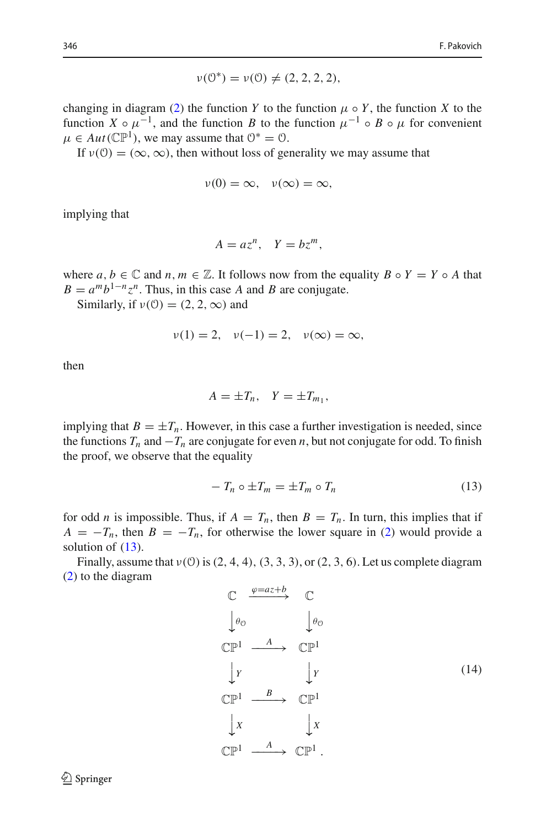$$
\nu(0^*) = \nu(0) \neq (2, 2, 2, 2),
$$

changing in diagram [\(2\)](#page-2-1) the function *Y* to the function  $\mu \circ Y$ , the function *X* to the function  $X \circ \mu^{-1}$ , and the function *B* to the function  $\mu^{-1} \circ B \circ \mu$  for convenient  $\mu \in Aut(\mathbb{CP}^1)$ , we may assume that  $\mathcal{O}^* = \mathcal{O}$ .

If  $v(0) = (\infty, \infty)$ , then without loss of generality we may assume that

$$
v(0)=\infty, \quad v(\infty)=\infty,
$$

implying that

$$
A = az^n, \quad Y = bz^m,
$$

where  $a, b \in \mathbb{C}$  and  $n, m \in \mathbb{Z}$ . It follows now from the equality  $B \circ Y = Y \circ A$  that  $B = a^m b^{1-n} z^n$ . Thus, in this case *A* and *B* are conjugate.

Similarly, if  $v(0) = (2, 2, \infty)$  and

$$
v(1) = 2, v(-1) = 2, v(\infty) = \infty,
$$

then

$$
A = \pm T_n, \quad Y = \pm T_{m_1},
$$

implying that  $B = \pm T_n$ . However, in this case a further investigation is needed, since the functions  $T_n$  and  $-T_n$  are conjugate for even *n*, but not conjugate for odd. To finish the proof, we observe that the equality

<span id="page-7-0"></span>
$$
-T_n \circ \pm T_m = \pm T_m \circ T_n \tag{13}
$$

for odd *n* is impossible. Thus, if  $A = T_n$ , then  $B = T_n$ . In turn, this implies that if  $A = -T_n$ , then  $B = -T_n$ , for otherwise the lower square in [\(2\)](#page-2-1) would provide a solution of  $(13)$ .

Finally, assume that  $v(0)$  is  $(2, 4, 4)$ ,  $(3, 3, 3)$ , or  $(2, 3, 6)$ . Let us complete diagram [\(2\)](#page-2-1) to the diagram

<span id="page-7-1"></span>
$$
\begin{array}{ccc}\n\mathbb{C} & \xrightarrow{\varphi = az+b} & \mathbb{C} \\
\downarrow \theta_0 & & \downarrow \theta_0 \\
\mathbb{C}\mathbb{P}^1 & \xrightarrow{A} & \mathbb{C}\mathbb{P}^1 \\
\downarrow Y & & \downarrow Y \\
\mathbb{C}\mathbb{P}^1 & \xrightarrow{B} & \mathbb{C}\mathbb{P}^1 \\
\downarrow X & & \downarrow X \\
\mathbb{C}\mathbb{P}^1 & \xrightarrow{A} & \mathbb{C}\mathbb{P}^1.\n\end{array} \tag{14}
$$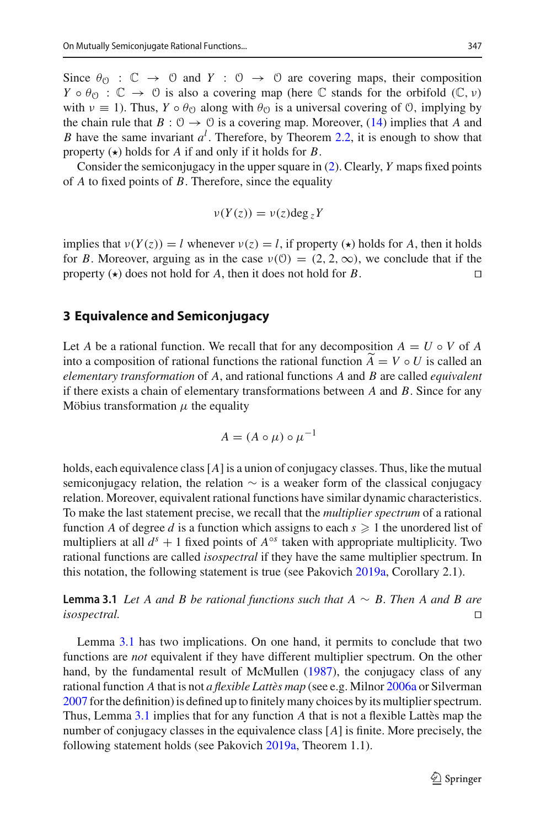Since  $\theta_{\mathcal{O}} : \mathbb{C} \to \mathbb{O}$  and  $Y : \mathbb{O} \to \mathbb{O}$  are covering maps, their composition  $Y \circ \theta_{\mathcal{O}} : \mathbb{C} \to \mathbb{O}$  is also a covering map (here  $\mathbb C$  stands for the orbifold  $(\mathbb C, \nu)$ ) with  $\nu \equiv 1$ ). Thus,  $Y \circ \theta_{\mathcal{O}}$  along with  $\theta_{\mathcal{O}}$  is a universal covering of  $\mathcal{O}$ , implying by the chain rule that  $B: \mathcal{O} \to \mathcal{O}$  is a covering map. Moreover, [\(14\)](#page-7-1) implies that A and *B* have the same invariant *a<sup>l</sup>* . Therefore, by Theorem [2.2,](#page-6-1) it is enough to show that property  $(\star)$  holds for *A* if and only if it holds for *B*.

Consider the semiconjugacy in the upper square in [\(2\)](#page-2-1). Clearly, *Y* maps fixed points of *A* to fixed points of *B*. Therefore, since the equality

$$
\nu(Y(z)) = \nu(z) \deg_z Y
$$

implies that  $v(Y(z)) = l$  whenever  $v(z) = l$ , if property ( $\star$ ) holds for *A*, then it holds for *B*. Moreover, arguing as in the case  $v(0) = (2, 2, \infty)$ , we conclude that if the property ( $\star$ ) does not hold for *A*, then it does not hold for *B*. property  $\left(\star\right)$  does not hold for *A*, then it does not hold for *B*.

#### **3 Equivalence and Semiconjugacy**

Let *A* be a rational function. We recall that for any decomposition  $A = U \circ V$  of *A* into a composition of rational functions the rational function  $A = V \circ U$  is called an *algoritation* transformation of A and principal functions A and *P* are solled assimilated *elementary transformation* of *A*, and rational functions *A* and *B* are called *equivalent* if there exists a chain of elementary transformations between *A* and *B*. Since for any Möbius transformation  $\mu$  the equality

$$
A = (A \circ \mu) \circ \mu^{-1}
$$

holds, each equivalence class[*A*] is a union of conjugacy classes. Thus, like the mutual semiconjugacy relation, the relation  $\sim$  is a weaker form of the classical conjugacy relation. Moreover, equivalent rational functions have similar dynamic characteristics. To make the last statement precise, we recall that the *multiplier spectrum* of a rational function *A* of degree *d* is a function which assigns to each  $s \geq 1$  the unordered list of multipliers at all  $d<sup>s</sup> + 1$  fixed points of  $A<sup>°s</sup>$  taken with appropriate multiplicity. Two rational functions are called *isospectral* if they have the same multiplier spectrum. In this notation, the following statement is true (see Pakovic[h](#page-15-5) [2019a,](#page-15-5) Corollary 2.1).

<span id="page-8-0"></span>**Lemma 3.1** *Let A and B be rational functions such that A* ∼ *B. Then A and B are isospectral.* 

<span id="page-8-1"></span>Lemma [3.1](#page-8-0) has two implications. On one hand, it permits to conclude that two functions are *not* equivalent if they have different multiplier spectrum. On the other hand, by the fundamental result of McMulle[n](#page-15-15) [\(1987\)](#page-15-15), the conjugacy class of any rational function *A* that is not *a flexible Lattès map* (see e.g. Milno[r](#page-15-14) [2006a](#page-15-14) or Silverma[n](#page-15-16) [2007](#page-15-16) for the definition) is defined up to finitely many choices by its multiplier spectrum. Thus, Lemma [3.1](#page-8-0) implies that for any function *A* that is not a flexible Lattès map the number of conjugacy classes in the equivalence class [*A*] is finite. More precisely, the following statement holds (see Pakovic[h](#page-15-5) [2019a,](#page-15-5) Theorem 1.1).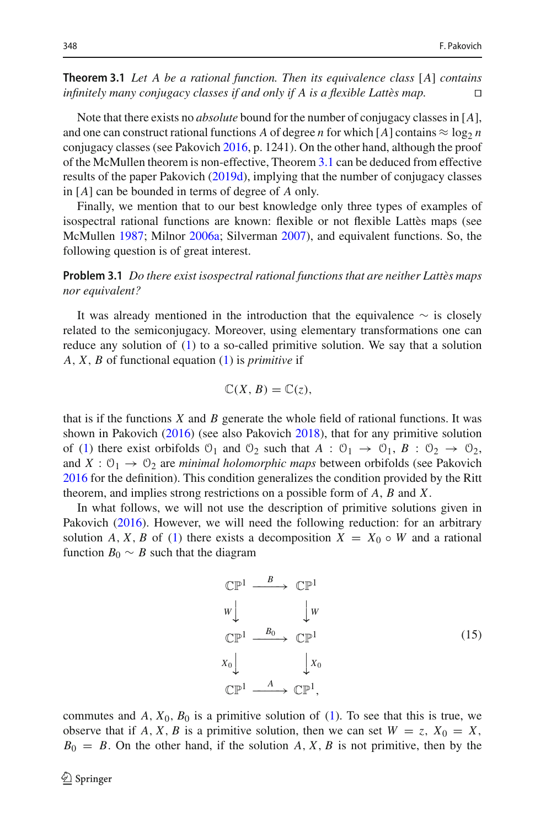**Theorem 3.1** *Let A be a rational function. Then its equivalence class* [*A*] *contains infinitely many conjugacy classes if and only if A is a flexible Lattès map.* 

Note that there exists no *absolute* bound for the number of conjugacy classes in [*A*], and one can construct rational functions *A* of degree *n* for which [*A*] contains  $\approx \log_2 n$ conjugacy classes (see Pakovic[h](#page-15-3) [2016,](#page-15-3) p. 1241). On the other hand, although the proof of the McMullen theorem is non-effective, Theorem [3.1](#page-8-1) can be deduced from effective results of the paper Pakovic[h](#page-15-7) [\(2019d\)](#page-15-7), implying that the number of conjugacy classes in [*A*] can be bounded in terms of degree of *A* only.

Finally, we mention that to our best knowledge only three types of examples of isospectral rational functions are known: flexible or not flexible Lattès maps (see McMulle[n](#page-15-15) [1987;](#page-15-15) Milno[r](#page-15-14) [2006a;](#page-15-14) Silverma[n](#page-15-16) [2007\)](#page-15-16), and equivalent functions. So, the following question is of great interest.

**Problem 3.1** *Do there exist isospectral rational functions that are neither Lattès maps nor equivalent?*

It was already mentioned in the introduction that the equivalence  $\sim$  is closely related to the semiconjugacy. Moreover, using elementary transformations one can reduce any solution of  $(1)$  to a so-called primitive solution. We say that a solution *A*, *X*, *B* of functional equation [\(1\)](#page-0-0) is *primitive* if

$$
\mathbb{C}(X, B) = \mathbb{C}(z),
$$

that is if the functions *X* and *B* generate the whole field of rational functions. It was shown in Pakovic[h](#page-15-3) [\(2016](#page-15-3)) (see also Pakovic[h](#page-15-4) [2018\)](#page-15-4), that for any primitive solution of [\(1\)](#page-0-0) there exist orbifolds  $\mathcal{O}_1$  and  $\mathcal{O}_2$  such that  $A : \mathcal{O}_1 \rightarrow \mathcal{O}_1$ ,  $B : \mathcal{O}_2 \rightarrow \mathcal{O}_2$ , and  $X: \mathcal{O}_1 \to \mathcal{O}_2$  $X: \mathcal{O}_1 \to \mathcal{O}_2$  $X: \mathcal{O}_1 \to \mathcal{O}_2$  are *minimal holomorphic maps* between orbifolds (see Pakovich [2016](#page-15-3) for the definition). This condition generalizes the condition provided by the Ritt theorem, and implies strong restrictions on a possible form of *A*, *B* and *X*.

In what follows, we will not use the description of primitive solutions given in Pakovic[h](#page-15-3) [\(2016](#page-15-3)). However, we will need the following reduction: for an arbitrary solution *A*, *X*, *B* of [\(1\)](#page-0-0) there exists a decomposition  $X = X_0 \circ W$  and a rational function  $B_0 \sim B$  such that the diagram

<span id="page-9-0"></span>
$$
\begin{array}{ccc}\n\mathbb{CP}^1 & \xrightarrow{B} & \mathbb{CP}^1 \\
w & & \downarrow w \\
\mathbb{CP}^1 & \xrightarrow{B_0} & \mathbb{CP}^1 \\
x_0 & & \downarrow x_0 \\
\mathbb{CP}^1 & \xrightarrow{A} & \mathbb{CP}^1,\n\end{array} \tag{15}
$$

commutes and  $A$ ,  $X_0$ ,  $B_0$  is a primitive solution of [\(1\)](#page-0-0). To see that this is true, we observe that if *A*, *X*, *B* is a primitive solution, then we can set  $W = z$ ,  $X_0 = X$ ,  $B_0 = B$ . On the other hand, if the solution *A*, *X*, *B* is not primitive, then by the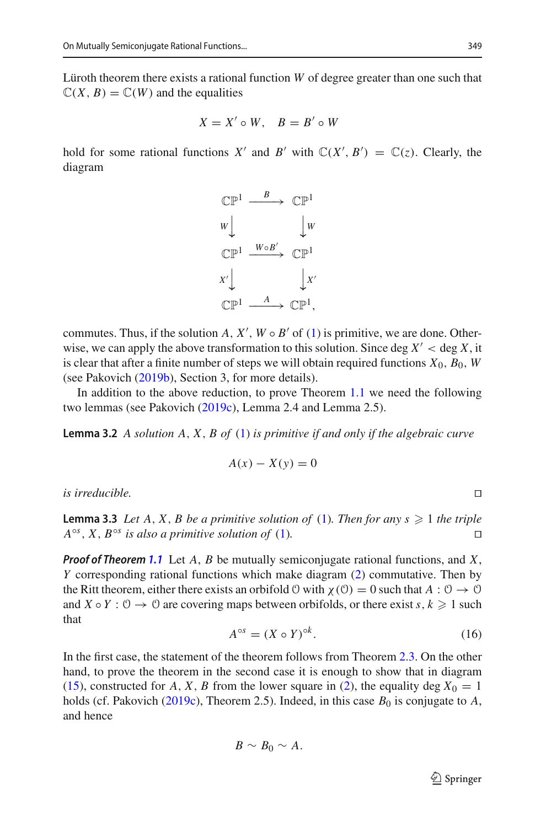Lüroth theorem there exists a rational function *W* of degree greater than one such that  $\mathbb{C}(X, B) = \mathbb{C}(W)$  and the equalities

$$
X = X' \circ W, \quad B = B' \circ W
$$

hold for some rational functions *X'* and *B'* with  $\mathbb{C}(X', B') = \mathbb{C}(z)$ . Clearly, the diagram



commutes. Thus, if the solution *A*,  $X'$ ,  $W \circ B'$  of [\(1\)](#page-0-0) is primitive, we are done. Otherwise, we can apply the above transformation to this solution. Since deg  $X' <$  deg X, it is clear that after a finite number of steps we will obtain required functions  $X_0$ ,  $B_0$ ,  $W$ (see Pakovic[h](#page-15-6) [\(2019b\)](#page-15-6), Section 3, for more details).

<span id="page-10-1"></span>In addition to the above reduction, to prove Theorem [1.1](#page-1-0) we need the following two lemmas (see Pakovic[h](#page-15-12) [\(2019c\)](#page-15-12), Lemma 2.4 and Lemma 2.5).

**Lemma 3.2** *A solution A*, *X*, *B of* [\(1\)](#page-0-0) *is primitive if and only if the algebraic curve*

$$
A(x) - X(y) = 0
$$

<span id="page-10-2"></span>*is irreducible.* 

**Lemma 3.3** *Let*  $A$ ,  $X$ ,  $B$  *be a primitive solution of* [\(1\)](#page-0-0)*. Then for any s*  $\geq 1$  *the triple*  $A^{\circ s}$ , *X*,  $B^{\circ s}$  *is also a primitive solution of* [\(1\)](#page-0-0).

*Proof of Theorem [1.1](#page-1-0)* Let *A*, *B* be mutually semiconjugate rational functions, and *X*, *Y* corresponding rational functions which make diagram [\(2\)](#page-2-1) commutative. Then by the Ritt theorem, either there exists an orbifold  $\theta$  with  $\chi(\theta) = 0$  such that  $A : \theta \to \theta$ and *X*  $\circ$  *Y* :  $\circ$   $\to$   $\circ$  are covering maps between orbifolds, or there exist *s*, *k*  $\geq$  1 such that

<span id="page-10-0"></span>
$$
A^{\circ s} = (X \circ Y)^{\circ k}.\tag{16}
$$

In the first case, the statement of the theorem follows from Theorem [2.3.](#page-6-2) On the other hand, to prove the theorem in the second case it is enough to show that in diagram [\(15\)](#page-9-0), constructed for *A*, *X*, *B* from the lower square in [\(2\)](#page-2-1), the equality deg  $X_0 = 1$ [h](#page-15-12)olds (cf. Pakovich [\(2019c\)](#page-15-12), Theorem 2.5). Indeed, in this case  $B_0$  is conjugate to  $A$ , and hence

$$
B \sim B_0 \sim A.
$$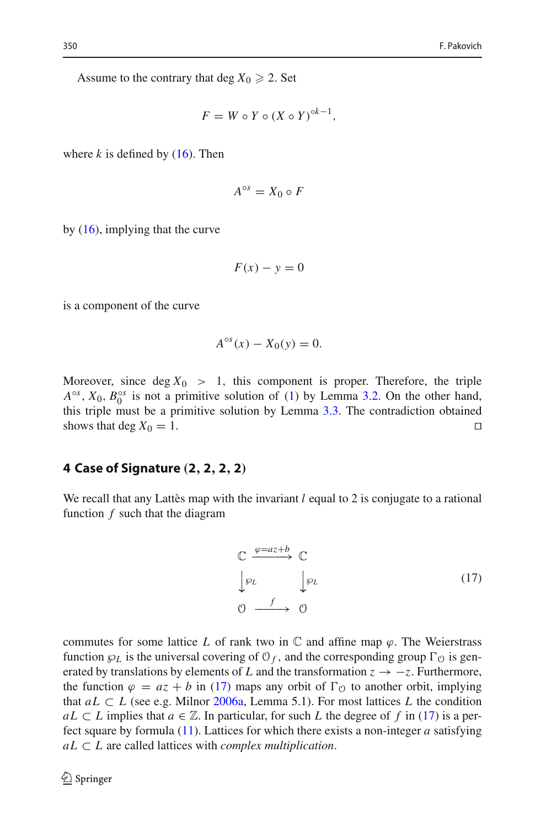Assume to the contrary that deg  $X_0 \geq 2$ . Set

$$
F = W \circ Y \circ (X \circ Y)^{\circ k - 1},
$$

where  $k$  is defined by  $(16)$ . Then

$$
A^{\circ s} = X_0 \circ F
$$

by  $(16)$ , implying that the curve

$$
F(x) - y = 0
$$

is a component of the curve

$$
A^{\circ s}(x) - X_0(y) = 0.
$$

Moreover, since deg  $X_0 > 1$ , this component is proper. Therefore, the triple  $A^{\circ s}$ ,  $X_0$ ,  $B_0^{\circ s}$  is not a primitive solution of [\(1\)](#page-0-0) by Lemma [3.2.](#page-10-1) On the other hand, this triple must be a primitive solution by Lemma [3.3.](#page-10-2) The contradiction obtained shows that deg  $X_0 = 1$ .

#### **4 Case of Signature** *(***2***,* **2***,* **2***,* **2***)*

We recall that any Lattes map with the invariant *l* equal to 2 is conjugate to a rational function *f* such that the diagram

<span id="page-11-0"></span>
$$
\begin{array}{ccc}\n\mathbb{C} & \xrightarrow{\varphi = az+b} & \mathbb{C} \\
\downarrow \varphi_L & & \downarrow \varphi_L \\
\mathbb{O} & \xrightarrow{f} & \mathbb{O}\n\end{array} \tag{17}
$$

commutes for some lattice *L* of rank two in  $\mathbb C$  and affine map  $\varphi$ . The Weierstrass function  $\wp_L$  is the universal covering of  $\mathcal{O}_f$ , and the corresponding group  $\Gamma_{\mathcal{O}}$  is generated by translations by elements of *L* and the transformation  $z \rightarrow -z$ . Furthermore, the function  $\varphi = az + b$  in [\(17\)](#page-11-0) maps any orbit of  $\Gamma_0$  to another orbit, implying that  $aL \subset L$  (see e.g. Milno[r](#page-15-14) [2006a](#page-15-14), Lemma 5.1). For most lattices L the condition *aL* ⊂ *L* implies that *a* ∈  $\mathbb{Z}$ . In particular, for such *L* the degree of *f* in [\(17\)](#page-11-0) is a perfect square by formula [\(11\)](#page-6-3). Lattices for which there exists a non-integer *a* satisfying  $aL \subset L$  are called lattices with *complex multiplication*.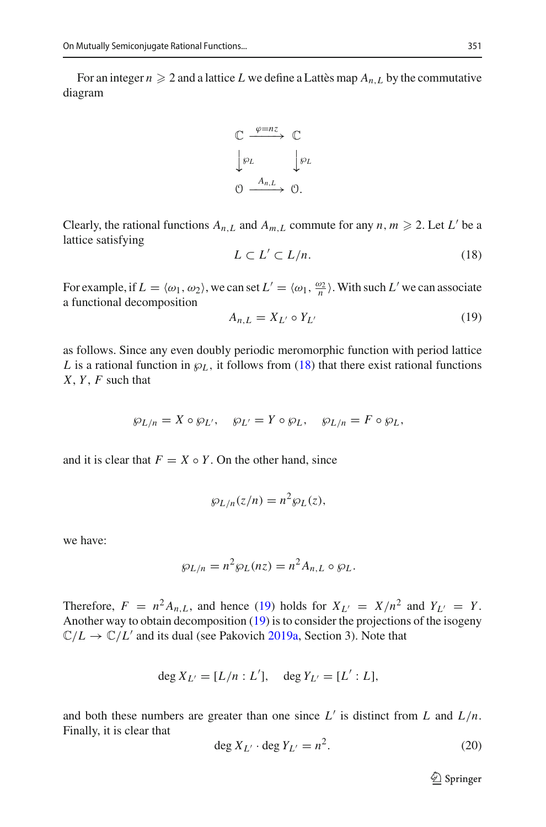For an integer  $n \geqslant 2$  and a lattice  $L$  we define a Lattès map  $A_{n,L}$  by the commutative diagram



Clearly, the rational functions  $A_{n,L}$  and  $A_{m,L}$  commute for any  $n, m \ge 2$ . Let  $L'$  be a lattice satisfying

<span id="page-12-0"></span>
$$
L \subset L' \subset L/n. \tag{18}
$$

For example, if  $L = \langle \omega_1, \omega_2 \rangle$ , we can set  $L' = \langle \omega_1, \frac{\omega_2}{n} \rangle$ . With such  $L'$  we can associate a functional decomposition

<span id="page-12-1"></span>
$$
A_{n,L} = X_{L'} \circ Y_{L'} \tag{19}
$$

as follows. Since any even doubly periodic meromorphic function with period lattice *L* is a rational function in  $\wp_L$ , it follows from [\(18\)](#page-12-0) that there exist rational functions *X*, *Y* , *F* such that

$$
\wp_{L/n} = X \circ \wp_{L'}, \quad \wp_{L'} = Y \circ \wp_L, \quad \wp_{L/n} = F \circ \wp_L,
$$

and it is clear that  $F = X \circ Y$ . On the other hand, since

$$
\wp_{L/n}(z/n) = n^2 \wp_L(z),
$$

we have:

$$
\wp_{L/n} = n^2 \wp_L(nz) = n^2 A_{n,L} \circ \wp_L.
$$

Therefore,  $F = n^2 A_{n,L}$ , and hence [\(19\)](#page-12-1) holds for  $X_{L'} = X/n^2$  and  $Y_{L'} = Y$ . Another way to obtain decomposition [\(19\)](#page-12-1) is to consider the projections of the isogeny  $\mathbb{C}/L \to \mathbb{C}/L'$  $\mathbb{C}/L \to \mathbb{C}/L'$  $\mathbb{C}/L \to \mathbb{C}/L'$  and its dual (see Pakovich [2019a](#page-15-5), Section 3). Note that

$$
\deg X_{L'} = [L/n : L'], \deg Y_{L'} = [L' : L],
$$

and both these numbers are greater than one since  $L'$  is distinct from  $L$  and  $L/n$ . Finally, it is clear that

<span id="page-12-2"></span>
$$
\deg X_{L'} \cdot \deg Y_{L'} = n^2. \tag{20}
$$

<sup>2</sup> Springer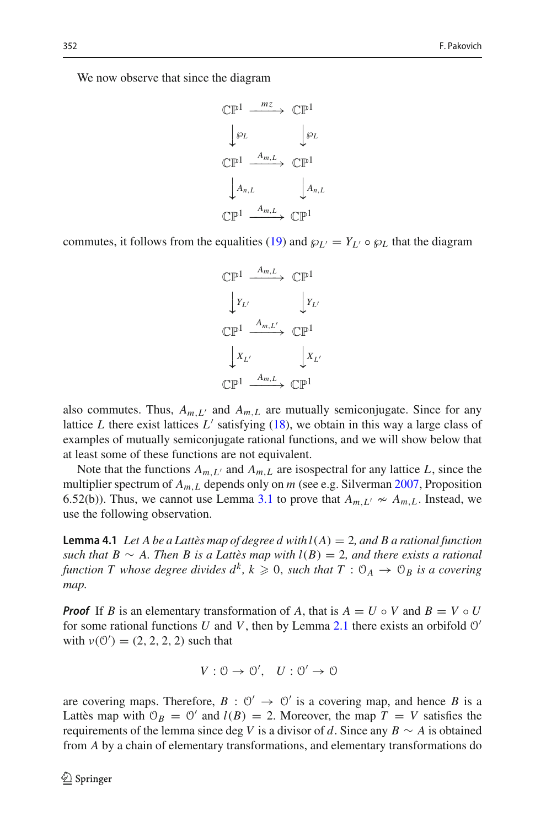We now observe that since the diagram

$$
\begin{aligned}\n\mathbb{CP}^1 &\xrightarrow{m_Z} \mathbb{CP}^1 \\
\downarrow \wp_L &\downarrow \wp_L \\
\mathbb{CP}^1 &\xrightarrow{A_{m,L}} \mathbb{CP}^1 \\
\downarrow A_{n,L} &\downarrow A_{n,L} \\
\mathbb{CP}^1 &\xrightarrow{A_{m,L}} \mathbb{CP}^1\n\end{aligned}
$$

commutes, it follows from the equalities [\(19\)](#page-12-1) and  $\wp_{L'} = Y_{L'} \circ \wp_{L}$  that the diagram



also commutes. Thus,  $A_{m,L'}$  and  $A_{m,L}$  are mutually semiconjugate. Since for any lattice *L* there exist lattices  $L'$  satisfying  $(18)$ , we obtain in this way a large class of examples of mutually semiconjugate rational functions, and we will show below that at least some of these functions are not equivalent.

Note that the functions  $A_{m,L}$  and  $A_{m,L}$  are isospectral for any lattice *L*, since the multiplier spectrum of *Am*,*<sup>L</sup>* depends only on *m* (see e.g. Silverma[n](#page-15-16) [2007,](#page-15-16) Proposition 6.52(b)). Thus, we cannot use Lemma [3.1](#page-8-0) to prove that  $A_{m,L'} \nsim A_{m,L}$ . Instead, we use the following observation.

<span id="page-13-0"></span>**Lemma 4.1** *Let A be a Lattès map of degree d with l*(*A*) = 2*, and B a rational function such that B* ∼ *A. Then B is a Lattès map with*  $l(B) = 2$ *, and there exists a rational function T whose degree divides*  $d^k$ *,*  $k \geqslant 0$ *, such that*  $T : \mathcal{O}_A \to \mathcal{O}_B$  *is a covering map.*

*Proof* If *B* is an elementary transformation of *A*, that is  $A = U \circ V$  and  $B = V \circ U$ for some rational functions *U* and *V*, then by Lemma [2.1](#page-5-1) there exists an orbifold  $O'$ with  $v(0') = (2, 2, 2, 2)$  such that

$$
V: 0 \to 0', U: 0' \to 0
$$

are covering maps. Therefore,  $B: \mathbb{O}' \to \mathbb{O}'$  is a covering map, and hence *B* is a Lattès map with  $\mathcal{O}_B = \mathcal{O}'$  and  $l(B) = 2$ . Moreover, the map  $T = V$  satisfies the requirements of the lemma since deg *V* is a divisor of *d*. Since any  $B \sim A$  is obtained from *A* by a chain of elementary transformations, and elementary transformations do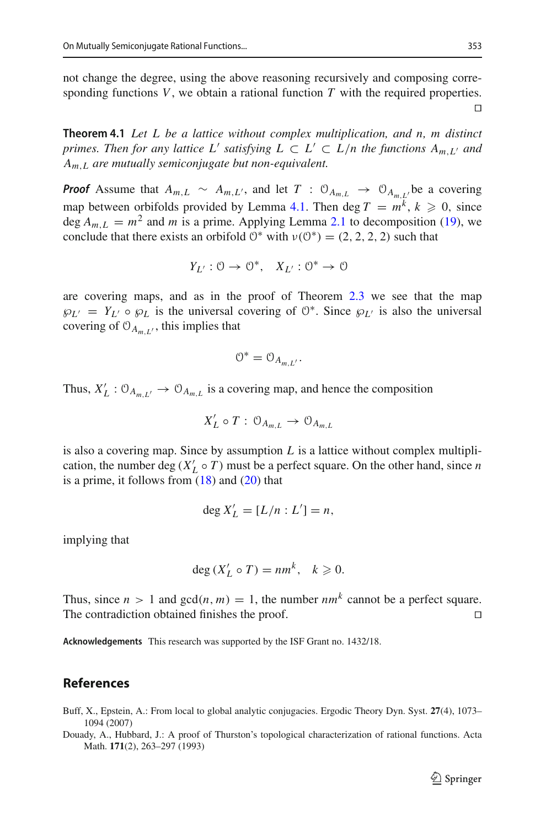not change the degree, using the above reasoning recursively and composing corresponding functions *V*, we obtain a rational function *T* with the required properties.  $\Box$ 

**Theorem 4.1** *Let L be a lattice without complex multiplication, and n, m distinct primes. Then for any lattice L' satisfying*  $L \subset L' \subset L/n$  *the functions*  $A_{m,L'}$  *and Am*,*<sup>L</sup> are mutually semiconjugate but non-equivalent.*

*Proof* Assume that  $A_{m,L} \sim A_{m,L}$ , and let  $T : \mathcal{O}_{A_{m,L}} \to \mathcal{O}_{A_{m,L}}$  be a covering map between orbifolds provided by Lemma [4.1.](#page-13-0) Then deg  $T = m^k$ ,  $k \ge 0$ , since deg  $A_{m,L} = m^2$  and *m* is a prime. Applying Lemma [2.1](#page-5-1) to decomposition [\(19\)](#page-12-1), we conclude that there exists an orbifold  $0^*$  with  $v(0^*) = (2, 2, 2, 2)$  such that

$$
Y_{L'}: \mathcal{O} \to \mathcal{O}^*, \quad X_{L'}: \mathcal{O}^* \to \mathcal{O}
$$

are covering maps, and as in the proof of Theorem [2.3](#page-6-2) we see that the map  $\wp_{L'} = Y_{L'} \circ \wp_L$  is the universal covering of  $\mathcal{O}^*$ . Since  $\wp_{L'}$  is also the universal covering of  $O_{A_{m,L'}}$ , this implies that

$$
0^* = 0_{A_{m,L'}}.
$$

Thus,  $X_L'$  :  $\mathcal{O}_{A_{m,L'}} \to \mathcal{O}_{A_{m,L}}$  is a covering map, and hence the composition

$$
X'_L \circ T : \mathcal{O}_{A_{m,L}} \to \mathcal{O}_{A_{m,L}}
$$

is also a covering map. Since by assumption  $L$  is a lattice without complex multiplication, the number deg ( $X'_L \circ T$ ) must be a perfect square. On the other hand, since *n* is a prime, it follows from  $(18)$  and  $(20)$  that

$$
\deg X'_L = [L/n : L'] = n,
$$

implying that

$$
\deg(X'_L \circ T) = nm^k, \quad k \geqslant 0.
$$

Thus, since  $n > 1$  and  $gcd(n, m) = 1$ , the number  $nm<sup>k</sup>$  cannot be a perfect square. The contradiction obtained finishes the proof.  $\square$ 

**Acknowledgements** This research was supported by the ISF Grant no. 1432/18.

### **References**

- <span id="page-14-0"></span>Buff, X., Epstein, A.: From local to global analytic conjugacies. Ergodic Theory Dyn. Syst. **27**(4), 1073– 1094 (2007)
- <span id="page-14-1"></span>Douady, A., Hubbard, J.: A proof of Thurston's topological characterization of rational functions. Acta Math. **171**(2), 263–297 (1993)